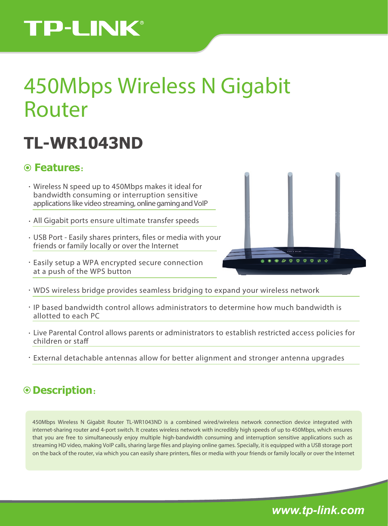# **TP-LINK®**

# 450Mbps Wireless N Gigabit Router

## **TL-WR1043ND**

### **Features**:

- Wireless N speed up to 450Mbps makes it ideal for bandwidth consuming or interruption sensitive applications like video streaming, online gaming and VoIP
- All Gigabit ports ensure ultimate transfer speeds
- USB Port Easily shares printers, files or media with your friends or family locally or over the Internet
- Easily setup a WPA encrypted secure connection at a push of the WPS button



- WDS wireless bridge provides seamless bridging to expand your wireless network
- IP based bandwidth control allows administrators to determine how much bandwidth is allotted to each PC
- Live Parental Control allows parents or administrators to establish restricted access policies for children or sta
- External detachable antennas allow for better alignment and stronger antenna upgrades

## **Description**:

450Mbps Wireless N Gigabit Router TL-WR1043ND is a combined wired/wireless network connection device integrated with internet-sharing router and 4-port switch. It creates wireless network with incredibly high speeds of up to 450Mbps, which ensures that you are free to simultaneously enjoy multiple high-bandwidth consuming and interruption sensitive applications such as streaming HD video, making VoIP calls, sharing large files and playing online games. Specially, it is equipped with a USB storage port on the back of the router, via which you can easily share printers, files or media with your friends or family locally or over the Internet

*www.tp-link.com*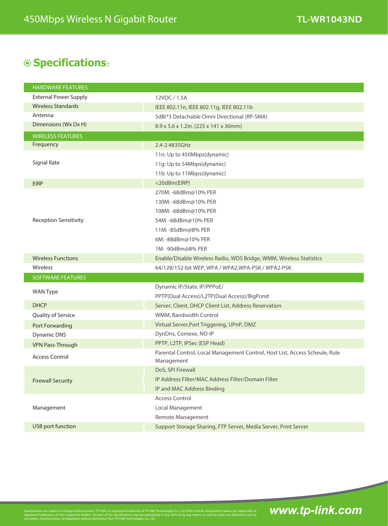## **Specifications**:

| <b>HARDWARE FEATURES</b>     |                                                                                           |
|------------------------------|-------------------------------------------------------------------------------------------|
| <b>External Power Supply</b> | 12VDC / 1.5A                                                                              |
| <b>Wireless Standards</b>    | IEEE 802.11n, IEEE 802.11g, IEEE 802.11b                                                  |
| Antenna                      | 5dBi*3 Detachable Omni Directional (RP-SMA)                                               |
| Dimensions (Wx Dx H)         | 8.9 x 5.6 x 1.2in. (225 x 141 x 30mm)                                                     |
| <b>WIRELESS FEATURES</b>     |                                                                                           |
| Frequency                    | 2.4-2.4835GHz                                                                             |
| <b>Signal Rate</b>           | 11n: Up to 450Mbps(dynamic)                                                               |
|                              | 11g: Up to 54Mbps(dynamic)                                                                |
|                              | 11b: Up to 11Mbps(dynamic)                                                                |
| <b>EIRP</b>                  | <20dBm(EIRP)                                                                              |
| <b>Reception Sensitivity</b> | 270M: -68dBm@10% PER                                                                      |
|                              | 130M: -68dBm@10% PER                                                                      |
|                              | 108M: -68dBm@10% PER                                                                      |
|                              | 54M: -68dBm@10% PER                                                                       |
|                              | 11M: -85dBm@8% PER                                                                        |
|                              | 6M: -88dBm@10% PER                                                                        |
|                              | 1M: -90dBm@8% PER                                                                         |
| <b>Wireless Functions</b>    | Enable/Disable Wireless Radio, WDS Bridge, WMM, Wireless Statistics                       |
| Wireless                     | 64/128/152-bit WEP, WPA / WPA2, WPA-PSK / WPA2-PSK                                        |
| <b>SOFTWARE FEATURES</b>     |                                                                                           |
| <b>WAN Type</b>              | Dynamic IP/Static IP/PPPoE/                                                               |
|                              | PPTP(Dual Access)/L2TP(Dual Access)/BigPond                                               |
| <b>DHCP</b>                  |                                                                                           |
|                              | Server, Client, DHCP Client List, Address Reservation                                     |
| Quality of Service           | WMM, Bandwidth Control                                                                    |
| Port Forwarding              | Virtual Server, Port Triggering, UPnP, DMZ                                                |
| <b>Dynamic DNS</b>           | DynDns, Comexe, NO-IP                                                                     |
| <b>VPN Pass-Through</b>      | PPTP, L2TP, IPSec (ESP Head)                                                              |
| <b>Access Control</b>        | Parental Control, Local Management Control, Host List, Access Scheule, Rule<br>Management |
|                              | DoS, SPI Firewall                                                                         |
| <b>Firewall Security</b>     | IP Address Filter/MAC Address Filter/Domain Filter                                        |
|                              | IP and MAC Address Binding                                                                |
|                              | <b>Access Control</b>                                                                     |
| Management                   | Local Management                                                                          |
|                              | Remote Management                                                                         |
| USB port function            | Support Storage Sharing, FTP Server, Media Server, Print Server                           |

Specifications are subject to change without notice. TP-LINK is a registered trademark of TP-LINK Technologies Co., Ltd. Other brands and product names are trademarks or<br>registered trademarks of their respective holders. N

*www.tp-link.com*